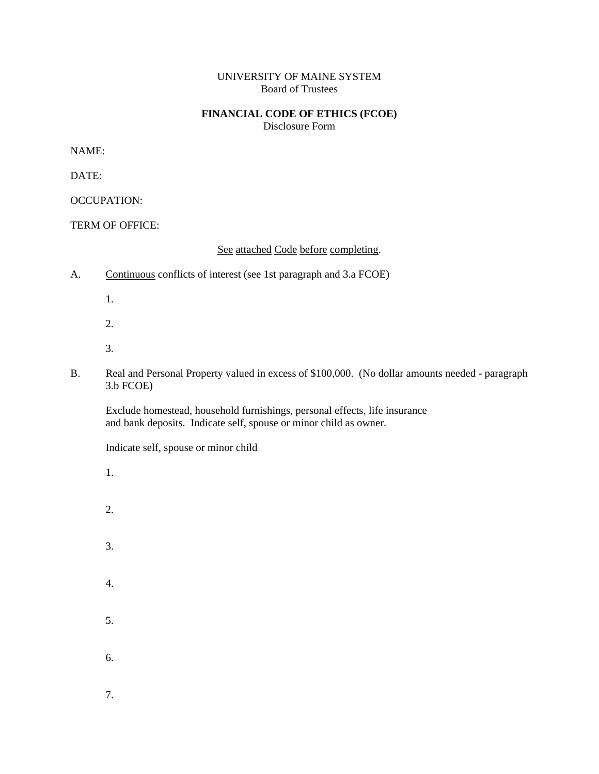## UNIVERSITY OF MAINE SYSTEM Board of Trustees

## **FINANCIAL CODE OF ETHICS (FCOE)**

Disclosure Form

NAME:

DATE:

OCCUPATION:

TERM OF OFFICE:

See attached Code before completing.

- A. Continuous conflicts of interest (see 1st paragraph and 3.a FCOE)
	- 1.
	- 2.
	- 3.
- B. Real and Personal Property valued in excess of \$100,000. (No dollar amounts needed paragraph 3.b FCOE)

Exclude homestead, household furnishings, personal effects, life insurance and bank deposits. Indicate self, spouse or minor child as owner.

Indicate self, spouse or minor child

- 1.
- 2.
- 
- 3.
- 4.
- 5.
- 6.
- 7.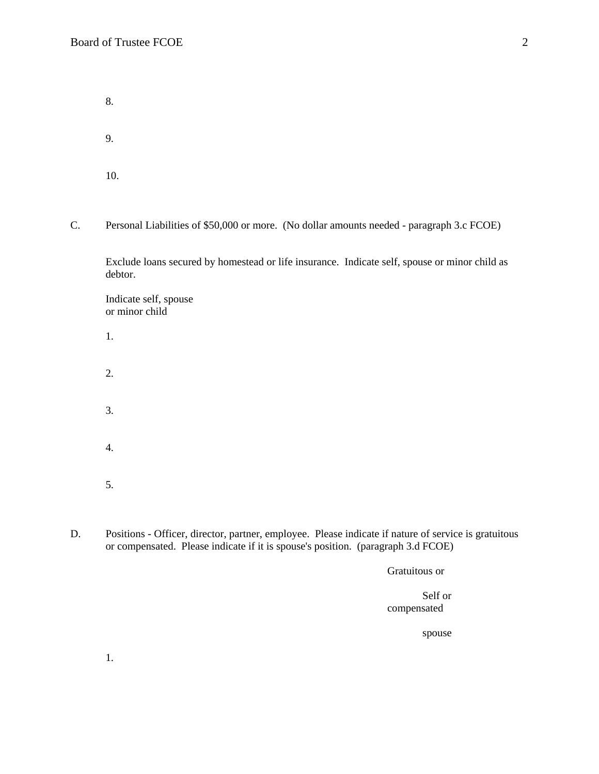8. 9. 10.

C. Personal Liabilities of \$50,000 or more. (No dollar amounts needed - paragraph 3.c FCOE)

Exclude loans secured by homestead or life insurance. Indicate self, spouse or minor child as debtor.

 Indicate self, spouse or minor child

- 1. 2.
- 3. 4.
- 5.
- D. Positions Officer, director, partner, employee. Please indicate if nature of service is gratuitous or compensated. Please indicate if it is spouse's position. (paragraph 3.d FCOE)

Gratuitous or

## Self or compensated

spouse

1.